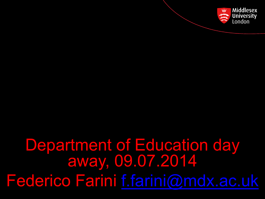

# Department of Education day away, 09.07.2014 Federico Farini [f.farini@mdx.ac.uk](mailto:f.farini@mdx.ac.uk)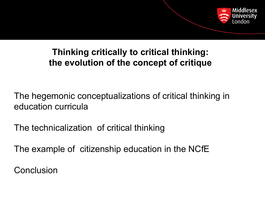

### **Thinking critically to critical thinking: the evolution of the concept of critique**

The hegemonic conceptualizations of critical thinking in education curricula

The technicalization of critical thinking

The example of citizenship education in the NCfE

**Conclusion**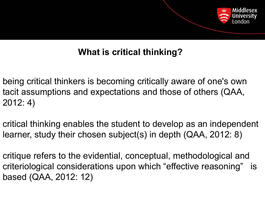

## **What is critical thinking?**

- being critical thinkers is becoming critically aware of one's own tacit assumptions and expectations and those of others (QAA, 2012: 4)
- critical thinking enables the student to develop as an independent learner, study their chosen subject(s) in depth (QAA, 2012: 8)
- critique refers to the evidential, conceptual, methodological and criteriological considerations upon which "effective reasoning" is based (QAA, 2012: 12)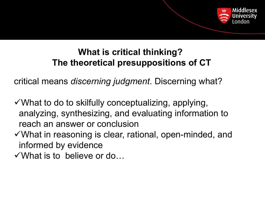

### **What is critical thinking? The theoretical presuppositions of CT**

critical means *discerning judgment*. Discerning what?

- $\checkmark$  What to do to skilfully conceptualizing, applying, analyzing, synthesizing, and evaluating information to reach an answer or conclusion
- ✓What in reasoning is clear, rational, open-minded, and informed by evidence
- ✓What is to believe or do…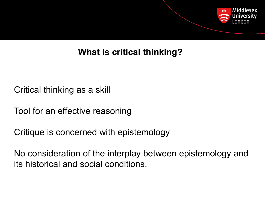

## **What is critical thinking?**

Critical thinking as a skill

Tool for an effective reasoning

Critique is concerned with epistemology

No consideration of the interplay between epistemology and its historical and social conditions.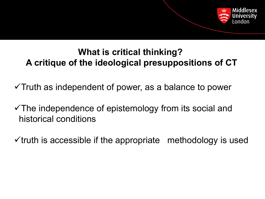

### **What is critical thinking? A critique of the ideological presuppositions of CT**

 $\checkmark$ Truth as independent of power, as a balance to power

✓The independence of epistemology from its social and historical conditions

 $\checkmark$  truth is accessible if the appropriate methodology is used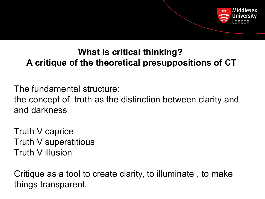

## **What is critical thinking? A critique of the theoretical presuppositions of CT**

The fundamental structure:

the concept of truth as the distinction between clarity and and darkness

Truth V caprice Truth V superstitious Truth V illusion

Critique as a tool to create clarity, to illuminate , to make things transparent.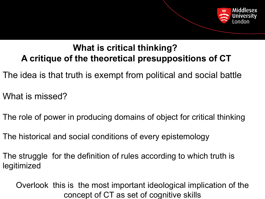

### **What is critical thinking? A critique of the theoretical presuppositions of CT**

- The idea is that truth is exempt from political and social battle
- What is missed?
- The role of power in producing domains of object for critical thinking
- The historical and social conditions of every epistemology
- The struggle for the definition of rules according to which truth is legitimized

Overlook this is the most important ideological implication of the concept of CT as set of cognitive skills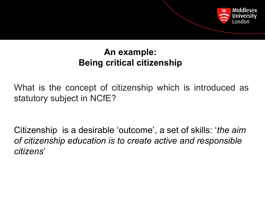

### **An example: Being critical citizenship**

What is the concept of citizenship which is introduced as statutory subject in NCfE?

Citizenship is a desirable 'outcome', a set of skills: '*the aim of citizenship education is to create active and responsible citizens*'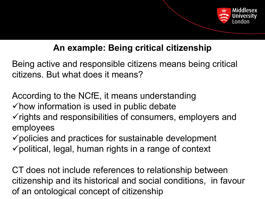

## **An example: Being critical citizenship**

Being active and responsible citizens means being critical citizens. But what does it means?

According to the NCfE, it means understanding  $\checkmark$  how information is used in public debate  $\checkmark$  rights and responsibilities of consumers, employers and employees

 $\checkmark$  policies and practices for sustainable development  $\checkmark$  political, legal, human rights in a range of context

CT does not include references to relationship between citizenship and its historical and social conditions, in favour of an ontological concept of citizenship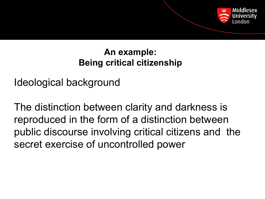

### **An example: Being critical citizenship**

Ideological background

The distinction between clarity and darkness is reproduced in the form of a distinction between public discourse involving critical citizens and the secret exercise of uncontrolled power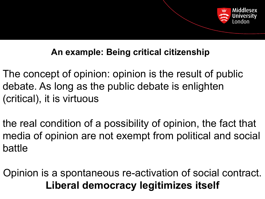

### **An example: Being critical citizenship**

- The concept of opinion: opinion is the result of public debate. As long as the public debate is enlighten (critical), it is virtuous
- the real condition of a possibility of opinion, the fact that media of opinion are not exempt from political and social battle
- Opinion is a spontaneous re-activation of social contract. **Liberal democracy legitimizes itself**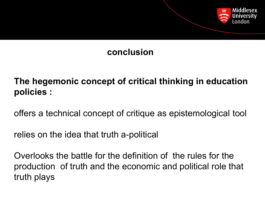

### **conclusion**

**The hegemonic concept of critical thinking in education policies :**

offers a technical concept of critique as epistemological tool

relies on the idea that truth a-political

Overlooks the battle for the definition of the rules for the production of truth and the economic and political role that truth plays